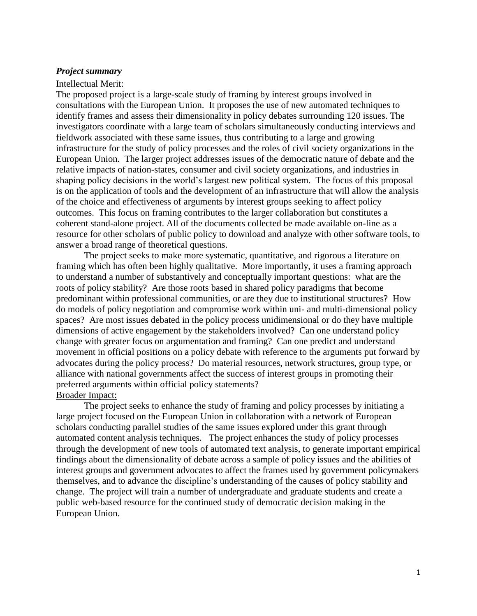#### *Project summary*

#### Intellectual Merit:

The proposed project is a large-scale study of framing by interest groups involved in consultations with the European Union. It proposes the use of new automated techniques to identify frames and assess their dimensionality in policy debates surrounding 120 issues. The investigators coordinate with a large team of scholars simultaneously conducting interviews and fieldwork associated with these same issues, thus contributing to a large and growing infrastructure for the study of policy processes and the roles of civil society organizations in the European Union. The larger project addresses issues of the democratic nature of debate and the relative impacts of nation-states, consumer and civil society organizations, and industries in shaping policy decisions in the world"s largest new political system. The focus of this proposal is on the application of tools and the development of an infrastructure that will allow the analysis of the choice and effectiveness of arguments by interest groups seeking to affect policy outcomes. This focus on framing contributes to the larger collaboration but constitutes a coherent stand-alone project. All of the documents collected be made available on-line as a resource for other scholars of public policy to download and analyze with other software tools, to answer a broad range of theoretical questions.

The project seeks to make more systematic, quantitative, and rigorous a literature on framing which has often been highly qualitative. More importantly, it uses a framing approach to understand a number of substantively and conceptually important questions: what are the roots of policy stability? Are those roots based in shared policy paradigms that become predominant within professional communities, or are they due to institutional structures? How do models of policy negotiation and compromise work within uni- and multi-dimensional policy spaces? Are most issues debated in the policy process unidimensional or do they have multiple dimensions of active engagement by the stakeholders involved? Can one understand policy change with greater focus on argumentation and framing? Can one predict and understand movement in official positions on a policy debate with reference to the arguments put forward by advocates during the policy process? Do material resources, network structures, group type, or alliance with national governments affect the success of interest groups in promoting their preferred arguments within official policy statements? Broader Impact:

The project seeks to enhance the study of framing and policy processes by initiating a large project focused on the European Union in collaboration with a network of European scholars conducting parallel studies of the same issues explored under this grant through automated content analysis techniques. The project enhances the study of policy processes through the development of new tools of automated text analysis, to generate important empirical findings about the dimensionality of debate across a sample of policy issues and the abilities of interest groups and government advocates to affect the frames used by government policymakers themselves, and to advance the discipline"s understanding of the causes of policy stability and change. The project will train a number of undergraduate and graduate students and create a public web-based resource for the continued study of democratic decision making in the European Union.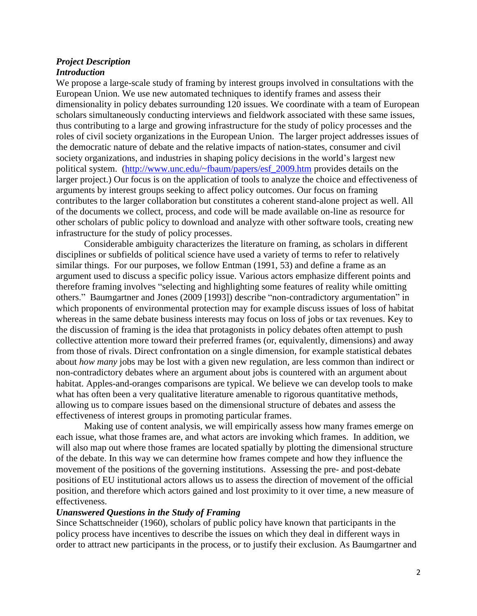### *Project Description Introduction*

We propose a large-scale study of framing by interest groups involved in consultations with the European Union. We use new automated techniques to identify frames and assess their dimensionality in policy debates surrounding 120 issues. We coordinate with a team of European scholars simultaneously conducting interviews and fieldwork associated with these same issues, thus contributing to a large and growing infrastructure for the study of policy processes and the roles of civil society organizations in the European Union. The larger project addresses issues of the democratic nature of debate and the relative impacts of nation-states, consumer and civil society organizations, and industries in shaping policy decisions in the world's largest new political system. [\(http://www.unc.edu/~fbaum/papers/esf\\_2009.htm](http://www.unc.edu/~fbaum/papers/esf_2009.htm) provides details on the larger project.) Our focus is on the application of tools to analyze the choice and effectiveness of arguments by interest groups seeking to affect policy outcomes. Our focus on framing contributes to the larger collaboration but constitutes a coherent stand-alone project as well. All of the documents we collect, process, and code will be made available on-line as resource for other scholars of public policy to download and analyze with other software tools, creating new infrastructure for the study of policy processes.

Considerable ambiguity characterizes the literature on framing, as scholars in different disciplines or subfields of political science have used a variety of terms to refer to relatively similar things. For our purposes, we follow Entman (1991, 53) and define a frame as an argument used to discuss a specific policy issue. Various actors emphasize different points and therefore framing involves "selecting and highlighting some features of reality while omitting others." Baumgartner and Jones (2009 [1993]) describe "non-contradictory argumentation" in which proponents of environmental protection may for example discuss issues of loss of habitat whereas in the same debate business interests may focus on loss of jobs or tax revenues. Key to the discussion of framing is the idea that protagonists in policy debates often attempt to push collective attention more toward their preferred frames (or, equivalently, dimensions) and away from those of rivals. Direct confrontation on a single dimension, for example statistical debates about *how many* jobs may be lost with a given new regulation, are less common than indirect or non-contradictory debates where an argument about jobs is countered with an argument about habitat. Apples-and-oranges comparisons are typical. We believe we can develop tools to make what has often been a very qualitative literature amenable to rigorous quantitative methods, allowing us to compare issues based on the dimensional structure of debates and assess the effectiveness of interest groups in promoting particular frames.

Making use of content analysis, we will empirically assess how many frames emerge on each issue, what those frames are, and what actors are invoking which frames. In addition, we will also map out where those frames are located spatially by plotting the dimensional structure of the debate. In this way we can determine how frames compete and how they influence the movement of the positions of the governing institutions. Assessing the pre- and post-debate positions of EU institutional actors allows us to assess the direction of movement of the official position, and therefore which actors gained and lost proximity to it over time, a new measure of effectiveness.

#### *Unanswered Questions in the Study of Framing*

Since Schattschneider (1960), scholars of public policy have known that participants in the policy process have incentives to describe the issues on which they deal in different ways in order to attract new participants in the process, or to justify their exclusion. As Baumgartner and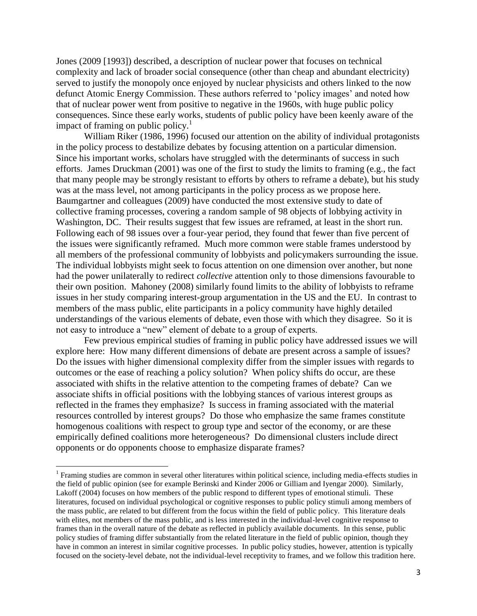Jones (2009 [1993]) described, a description of nuclear power that focuses on technical complexity and lack of broader social consequence (other than cheap and abundant electricity) served to justify the monopoly once enjoyed by nuclear physicists and others linked to the now defunct Atomic Energy Commission. These authors referred to 'policy images' and noted how that of nuclear power went from positive to negative in the 1960s, with huge public policy consequences. Since these early works, students of public policy have been keenly aware of the impact of framing on public policy.<sup>1</sup>

William Riker (1986, 1996) focused our attention on the ability of individual protagonists in the policy process to destabilize debates by focusing attention on a particular dimension. Since his important works, scholars have struggled with the determinants of success in such efforts. James Druckman (2001) was one of the first to study the limits to framing (e.g., the fact that many people may be strongly resistant to efforts by others to reframe a debate), but his study was at the mass level, not among participants in the policy process as we propose here. Baumgartner and colleagues (2009) have conducted the most extensive study to date of collective framing processes, covering a random sample of 98 objects of lobbying activity in Washington, DC. Their results suggest that few issues are reframed, at least in the short run. Following each of 98 issues over a four-year period, they found that fewer than five percent of the issues were significantly reframed. Much more common were stable frames understood by all members of the professional community of lobbyists and policymakers surrounding the issue. The individual lobbyists might seek to focus attention on one dimension over another, but none had the power unilaterally to redirect *collective* attention only to those dimensions favourable to their own position. Mahoney (2008) similarly found limits to the ability of lobbyists to reframe issues in her study comparing interest-group argumentation in the US and the EU. In contrast to members of the mass public, elite participants in a policy community have highly detailed understandings of the various elements of debate, even those with which they disagree. So it is not easy to introduce a "new" element of debate to a group of experts.

Few previous empirical studies of framing in public policy have addressed issues we will explore here: How many different dimensions of debate are present across a sample of issues? Do the issues with higher dimensional complexity differ from the simpler issues with regards to outcomes or the ease of reaching a policy solution? When policy shifts do occur, are these associated with shifts in the relative attention to the competing frames of debate? Can we associate shifts in official positions with the lobbying stances of various interest groups as reflected in the frames they emphasize? Is success in framing associated with the material resources controlled by interest groups? Do those who emphasize the same frames constitute homogenous coalitions with respect to group type and sector of the economy, or are these empirically defined coalitions more heterogeneous? Do dimensional clusters include direct opponents or do opponents choose to emphasize disparate frames?

 $\overline{\phantom{a}}$ 

<sup>&</sup>lt;sup>1</sup> Framing studies are common in several other literatures within political science, including media-effects studies in the field of public opinion (see for example Berinski and Kinder 2006 or Gilliam and Iyengar 2000). Similarly, Lakoff (2004) focuses on how members of the public respond to different types of emotional stimuli. These literatures, focused on individual psychological or cognitive responses to public policy stimuli among members of the mass public, are related to but different from the focus within the field of public policy. This literature deals with elites, not members of the mass public, and is less interested in the individual-level cognitive response to frames than in the overall nature of the debate as reflected in publicly available documents. In this sense, public policy studies of framing differ substantially from the related literature in the field of public opinion, though they have in common an interest in similar cognitive processes. In public policy studies, however, attention is typically focused on the society-level debate, not the individual-level receptivity to frames, and we follow this tradition here.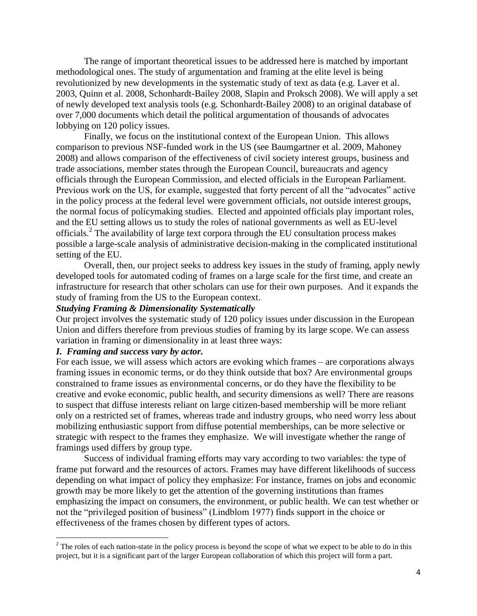The range of important theoretical issues to be addressed here is matched by important methodological ones. The study of argumentation and framing at the elite level is being revolutionized by new developments in the systematic study of text as data (e.g. Laver et al. 2003, Quinn et al. 2008, Schonhardt-Bailey 2008, Slapin and Proksch 2008). We will apply a set of newly developed text analysis tools (e.g. Schonhardt-Bailey 2008) to an original database of over 7,000 documents which detail the political argumentation of thousands of advocates lobbying on 120 policy issues.

Finally, we focus on the institutional context of the European Union. This allows comparison to previous NSF-funded work in the US (see Baumgartner et al. 2009, Mahoney 2008) and allows comparison of the effectiveness of civil society interest groups, business and trade associations, member states through the European Council, bureaucrats and agency officials through the European Commission, and elected officials in the European Parliament. Previous work on the US, for example, suggested that forty percent of all the "advocates" active in the policy process at the federal level were government officials, not outside interest groups, the normal focus of policymaking studies. Elected and appointed officials play important roles, and the EU setting allows us to study the roles of national governments as well as EU-level officials.<sup>2</sup> The availability of large text corpora through the EU consultation process makes possible a large-scale analysis of administrative decision-making in the complicated institutional setting of the EU.

Overall, then, our project seeks to address key issues in the study of framing, apply newly developed tools for automated coding of frames on a large scale for the first time, and create an infrastructure for research that other scholars can use for their own purposes. And it expands the study of framing from the US to the European context.

#### *Studying Framing & Dimensionality Systematically*

Our project involves the systematic study of 120 policy issues under discussion in the European Union and differs therefore from previous studies of framing by its large scope. We can assess variation in framing or dimensionality in at least three ways:

## *I. Framing and success vary by actor.*

 $\overline{\phantom{a}}$ 

For each issue, we will assess which actors are evoking which frames – are corporations always framing issues in economic terms, or do they think outside that box? Are environmental groups constrained to frame issues as environmental concerns, or do they have the flexibility to be creative and evoke economic, public health, and security dimensions as well? There are reasons to suspect that diffuse interests reliant on large citizen-based membership will be more reliant only on a restricted set of frames, whereas trade and industry groups, who need worry less about mobilizing enthusiastic support from diffuse potential memberships, can be more selective or strategic with respect to the frames they emphasize. We will investigate whether the range of framings used differs by group type.

Success of individual framing efforts may vary according to two variables: the type of frame put forward and the resources of actors. Frames may have different likelihoods of success depending on what impact of policy they emphasize: For instance, frames on jobs and economic growth may be more likely to get the attention of the governing institutions than frames emphasizing the impact on consumers, the environment, or public health. We can test whether or not the "privileged position of business" (Lindblom 1977) finds support in the choice or effectiveness of the frames chosen by different types of actors.

 $2<sup>2</sup>$  The roles of each nation-state in the policy process is beyond the scope of what we expect to be able to do in this project, but it is a significant part of the larger European collaboration of which this project will form a part.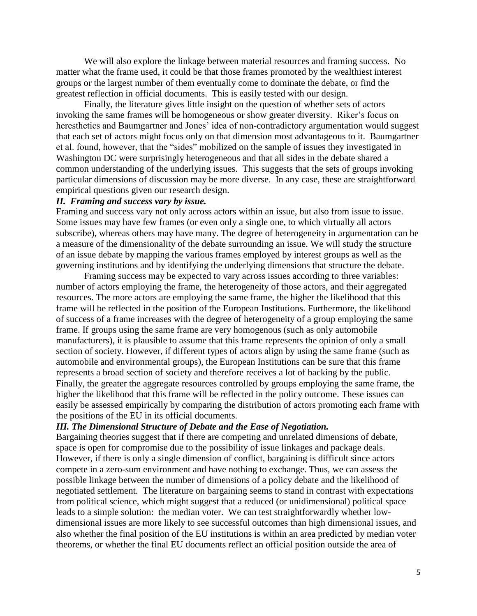We will also explore the linkage between material resources and framing success. No matter what the frame used, it could be that those frames promoted by the wealthiest interest groups or the largest number of them eventually come to dominate the debate, or find the greatest reflection in official documents. This is easily tested with our design.

Finally, the literature gives little insight on the question of whether sets of actors invoking the same frames will be homogeneous or show greater diversity. Riker's focus on heresthetics and Baumgartner and Jones' idea of non-contradictory argumentation would suggest that each set of actors might focus only on that dimension most advantageous to it. Baumgartner et al. found, however, that the "sides" mobilized on the sample of issues they investigated in Washington DC were surprisingly heterogeneous and that all sides in the debate shared a common understanding of the underlying issues. This suggests that the sets of groups invoking particular dimensions of discussion may be more diverse. In any case, these are straightforward empirical questions given our research design.

#### *II. Framing and success vary by issue.*

Framing and success vary not only across actors within an issue, but also from issue to issue. Some issues may have few frames (or even only a single one, to which virtually all actors subscribe), whereas others may have many. The degree of heterogeneity in argumentation can be a measure of the dimensionality of the debate surrounding an issue. We will study the structure of an issue debate by mapping the various frames employed by interest groups as well as the governing institutions and by identifying the underlying dimensions that structure the debate.

Framing success may be expected to vary across issues according to three variables: number of actors employing the frame, the heterogeneity of those actors, and their aggregated resources. The more actors are employing the same frame, the higher the likelihood that this frame will be reflected in the position of the European Institutions. Furthermore, the likelihood of success of a frame increases with the degree of heterogeneity of a group employing the same frame. If groups using the same frame are very homogenous (such as only automobile manufacturers), it is plausible to assume that this frame represents the opinion of only a small section of society. However, if different types of actors align by using the same frame (such as automobile and environmental groups), the European Institutions can be sure that this frame represents a broad section of society and therefore receives a lot of backing by the public. Finally, the greater the aggregate resources controlled by groups employing the same frame, the higher the likelihood that this frame will be reflected in the policy outcome. These issues can easily be assessed empirically by comparing the distribution of actors promoting each frame with the positions of the EU in its official documents.

## *III. The Dimensional Structure of Debate and the Ease of Negotiation.*

Bargaining theories suggest that if there are competing and unrelated dimensions of debate, space is open for compromise due to the possibility of issue linkages and package deals. However, if there is only a single dimension of conflict, bargaining is difficult since actors compete in a zero-sum environment and have nothing to exchange. Thus, we can assess the possible linkage between the number of dimensions of a policy debate and the likelihood of negotiated settlement. The literature on bargaining seems to stand in contrast with expectations from political science, which might suggest that a reduced (or unidimensional) political space leads to a simple solution: the median voter. We can test straightforwardly whether lowdimensional issues are more likely to see successful outcomes than high dimensional issues, and also whether the final position of the EU institutions is within an area predicted by median voter theorems, or whether the final EU documents reflect an official position outside the area of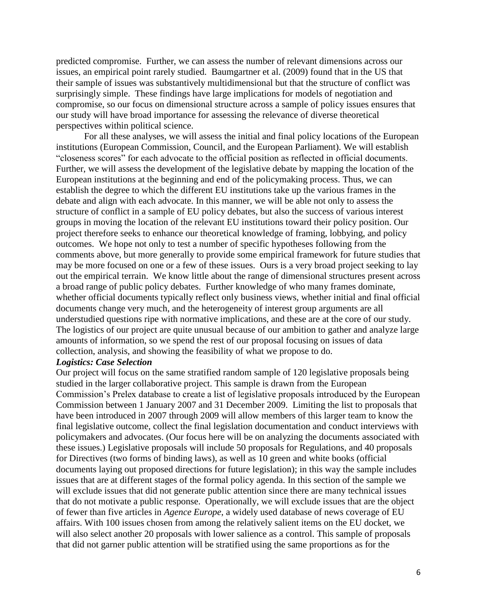predicted compromise. Further, we can assess the number of relevant dimensions across our issues, an empirical point rarely studied. Baumgartner et al. (2009) found that in the US that their sample of issues was substantively multidimensional but that the structure of conflict was surprisingly simple. These findings have large implications for models of negotiation and compromise, so our focus on dimensional structure across a sample of policy issues ensures that our study will have broad importance for assessing the relevance of diverse theoretical perspectives within political science.

For all these analyses, we will assess the initial and final policy locations of the European institutions (European Commission, Council, and the European Parliament). We will establish "closeness scores" for each advocate to the official position as reflected in official documents. Further, we will assess the development of the legislative debate by mapping the location of the European institutions at the beginning and end of the policymaking process. Thus, we can establish the degree to which the different EU institutions take up the various frames in the debate and align with each advocate. In this manner, we will be able not only to assess the structure of conflict in a sample of EU policy debates, but also the success of various interest groups in moving the location of the relevant EU institutions toward their policy position. Our project therefore seeks to enhance our theoretical knowledge of framing, lobbying, and policy outcomes. We hope not only to test a number of specific hypotheses following from the comments above, but more generally to provide some empirical framework for future studies that may be more focused on one or a few of these issues. Ours is a very broad project seeking to lay out the empirical terrain. We know little about the range of dimensional structures present across a broad range of public policy debates. Further knowledge of who many frames dominate, whether official documents typically reflect only business views, whether initial and final official documents change very much, and the heterogeneity of interest group arguments are all understudied questions ripe with normative implications, and these are at the core of our study. The logistics of our project are quite unusual because of our ambition to gather and analyze large amounts of information, so we spend the rest of our proposal focusing on issues of data collection, analysis, and showing the feasibility of what we propose to do.

#### *Logistics: Case Selection*

Our project will focus on the same stratified random sample of 120 legislative proposals being studied in the larger collaborative project. This sample is drawn from the European Commission"s Prelex database to create a list of legislative proposals introduced by the European Commission between 1 January 2007 and 31 December 2009. Limiting the list to proposals that have been introduced in 2007 through 2009 will allow members of this larger team to know the final legislative outcome, collect the final legislation documentation and conduct interviews with policymakers and advocates. (Our focus here will be on analyzing the documents associated with these issues.) Legislative proposals will include 50 proposals for Regulations, and 40 proposals for Directives (two forms of binding laws), as well as 10 green and white books (official documents laying out proposed directions for future legislation); in this way the sample includes issues that are at different stages of the formal policy agenda. In this section of the sample we will exclude issues that did not generate public attention since there are many technical issues that do not motivate a public response. Operationally, we will exclude issues that are the object of fewer than five articles in *Agence Europe*, a widely used database of news coverage of EU affairs. With 100 issues chosen from among the relatively salient items on the EU docket, we will also select another 20 proposals with lower salience as a control. This sample of proposals that did not garner public attention will be stratified using the same proportions as for the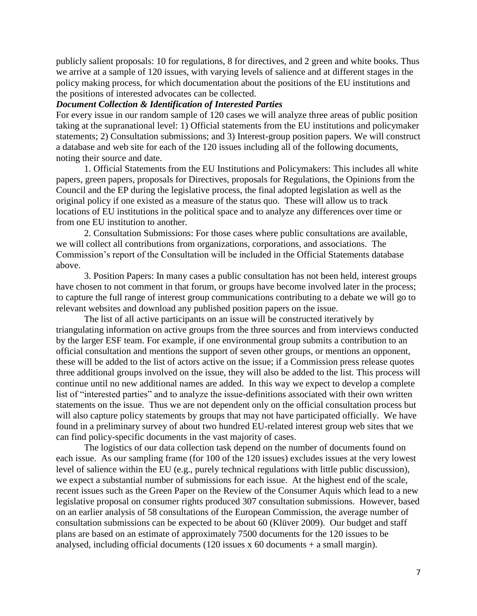publicly salient proposals: 10 for regulations, 8 for directives, and 2 green and white books. Thus we arrive at a sample of 120 issues, with varying levels of salience and at different stages in the policy making process, for which documentation about the positions of the EU institutions and the positions of interested advocates can be collected.

## *Document Collection & Identification of Interested Parties*

For every issue in our random sample of 120 cases we will analyze three areas of public position taking at the supranational level: 1) Official statements from the EU institutions and policymaker statements; 2) Consultation submissions; and 3) Interest-group position papers. We will construct a database and web site for each of the 120 issues including all of the following documents, noting their source and date.

1. Official Statements from the EU Institutions and Policymakers: This includes all white papers, green papers, proposals for Directives, proposals for Regulations, the Opinions from the Council and the EP during the legislative process, the final adopted legislation as well as the original policy if one existed as a measure of the status quo. These will allow us to track locations of EU institutions in the political space and to analyze any differences over time or from one EU institution to another.

2. Consultation Submissions: For those cases where public consultations are available, we will collect all contributions from organizations, corporations, and associations. The Commission"s report of the Consultation will be included in the Official Statements database above.

3. Position Papers: In many cases a public consultation has not been held, interest groups have chosen to not comment in that forum, or groups have become involved later in the process; to capture the full range of interest group communications contributing to a debate we will go to relevant websites and download any published position papers on the issue.

The list of all active participants on an issue will be constructed iteratively by triangulating information on active groups from the three sources and from interviews conducted by the larger ESF team. For example, if one environmental group submits a contribution to an official consultation and mentions the support of seven other groups, or mentions an opponent, these will be added to the list of actors active on the issue; if a Commission press release quotes three additional groups involved on the issue, they will also be added to the list. This process will continue until no new additional names are added. In this way we expect to develop a complete list of "interested parties" and to analyze the issue-definitions associated with their own written statements on the issue. Thus we are not dependent only on the official consultation process but will also capture policy statements by groups that may not have participated officially. We have found in a preliminary survey of about two hundred EU-related interest group web sites that we can find policy-specific documents in the vast majority of cases.

The logistics of our data collection task depend on the number of documents found on each issue. As our sampling frame (for 100 of the 120 issues) excludes issues at the very lowest level of salience within the EU (e.g., purely technical regulations with little public discussion), we expect a substantial number of submissions for each issue. At the highest end of the scale, recent issues such as the Green Paper on the Review of the Consumer Aquis which lead to a new legislative proposal on consumer rights produced 307 consultation submissions. However, based on an earlier analysis of 58 consultations of the European Commission, the average number of consultation submissions can be expected to be about 60 (Klüver 2009). Our budget and staff plans are based on an estimate of approximately 7500 documents for the 120 issues to be analysed, including official documents (120 issues x 60 documents + a small margin).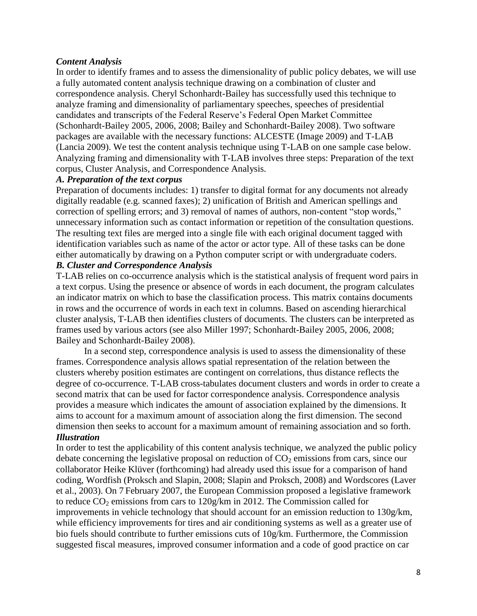## *Content Analysis*

In order to identify frames and to assess the dimensionality of public policy debates, we will use a fully automated content analysis technique drawing on a combination of cluster and correspondence analysis. Cheryl Schonhardt-Bailey has successfully used this technique to analyze framing and dimensionality of parliamentary speeches, speeches of presidential candidates and transcripts of the Federal Reserve"s Federal Open Market Committee (Schonhardt-Bailey 2005, 2006, 2008; Bailey and Schonhardt-Bailey 2008). Two software packages are available with the necessary functions: ALCESTE (Image 2009) and T-LAB (Lancia 2009). We test the content analysis technique using T-LAB on one sample case below. Analyzing framing and dimensionality with T-LAB involves three steps: Preparation of the text corpus, Cluster Analysis, and Correspondence Analysis.

## *A. Preparation of the text corpus*

Preparation of documents includes: 1) transfer to digital format for any documents not already digitally readable (e.g. scanned faxes); 2) unification of British and American spellings and correction of spelling errors; and 3) removal of names of authors, non-content "stop words," unnecessary information such as contact information or repetition of the consultation questions. The resulting text files are merged into a single file with each original document tagged with identification variables such as name of the actor or actor type. All of these tasks can be done either automatically by drawing on a Python computer script or with undergraduate coders. *B. Cluster and Correspondence Analysis*

## T-LAB relies on co-occurrence analysis which is the statistical analysis of frequent word pairs in a text corpus. Using the presence or absence of words in each document, the program calculates an indicator matrix on which to base the classification process. This matrix contains documents in rows and the occurrence of words in each text in columns. Based on ascending hierarchical cluster analysis, T-LAB then identifies clusters of documents. The clusters can be interpreted as frames used by various actors (see also Miller 1997; Schonhardt-Bailey 2005, 2006, 2008; Bailey and Schonhardt-Bailey 2008).

In a second step, correspondence analysis is used to assess the dimensionality of these frames. Correspondence analysis allows spatial representation of the relation between the clusters whereby position estimates are contingent on correlations, thus distance reflects the degree of co-occurrence. T-LAB cross-tabulates document clusters and words in order to create a second matrix that can be used for factor correspondence analysis. Correspondence analysis provides a measure which indicates the amount of association explained by the dimensions. It aims to account for a maximum amount of association along the first dimension. The second dimension then seeks to account for a maximum amount of remaining association and so forth. *Illustration*

In order to test the applicability of this content analysis technique, we analyzed the public policy debate concerning the legislative proposal on reduction of  $CO<sub>2</sub>$  emissions from cars, since our collaborator Heike Klüver (forthcoming) had already used this issue for a comparison of hand coding, Wordfish (Proksch and Slapin, 2008; Slapin and Proksch, 2008) and Wordscores (Laver et al., 2003). On 7 February 2007, the European Commission proposed a legislative framework to reduce  $CO_2$  emissions from cars to 120g/km in 2012. The Commission called for improvements in vehicle technology that should account for an emission reduction to 130g/km, while efficiency improvements for tires and air conditioning systems as well as a greater use of bio fuels should contribute to further emissions cuts of 10g/km. Furthermore, the Commission suggested fiscal measures, improved consumer information and a code of good practice on car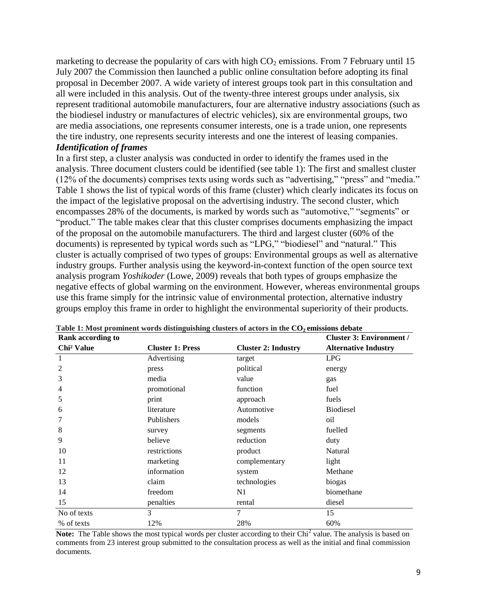marketing to decrease the popularity of cars with high  $CO<sub>2</sub>$  emissions. From 7 February until 15 July 2007 the Commission then launched a public online consultation before adopting its final proposal in December 2007. A wide variety of interest groups took part in this consultation and all were included in this analysis. Out of the twenty-three interest groups under analysis, six represent traditional automobile manufacturers, four are alternative industry associations (such as the biodiesel industry or manufactures of electric vehicles), six are environmental groups, two are media associations, one represents consumer interests, one is a trade union, one represents the tire industry, one represents security interests and one the interest of leasing companies. *Identification of frames*

In a first step, a cluster analysis was conducted in order to identify the frames used in the analysis. Three document clusters could be identified (see table 1): The first and smallest cluster (12% of the documents) comprises texts using words such as "advertising," "press" and "media." Table 1 shows the list of typical words of this frame (cluster) which clearly indicates its focus on the impact of the legislative proposal on the advertising industry. The second cluster, which encompasses 28% of the documents, is marked by words such as "automotive," "segments" or "product." The table makes clear that this cluster comprises documents emphasizing the impact of the proposal on the automobile manufacturers. The third and largest cluster (60% of the documents) is represented by typical words such as "LPG," "biodiesel" and "natural." This cluster is actually comprised of two types of groups: Environmental groups as well as alternative industry groups. Further analysis using the keyword-in-context function of the open source text analysis program *Yoshikoder* (Lowe, 2009) reveals that both types of groups emphasize the negative effects of global warming on the environment. However, whereas environmental groups use this frame simply for the intrinsic value of environmental protection, alternative industry groups employ this frame in order to highlight the environmental superiority of their products.

| <b>Rank according to</b> |                         |                            | <b>Cluster 3: Environment /</b> |
|--------------------------|-------------------------|----------------------------|---------------------------------|
| Chi <sup>2</sup> Value   | <b>Cluster 1: Press</b> | <b>Cluster 2: Industry</b> | <b>Alternative Industry</b>     |
| 1                        | Advertising             | target                     | LPG                             |
| $\overline{2}$           | press                   | political                  | energy                          |
| 3                        | media                   | value                      | gas                             |
| 4                        | promotional             | function                   | fuel                            |
| 5                        | print                   | approach                   | fuels                           |
| 6                        | literature              | Automotive                 | <b>Biodiesel</b>                |
| 7                        | Publishers              | models                     | oil                             |
| 8                        | survey                  | segments                   | fuelled                         |
| 9                        | believe                 | reduction                  | duty                            |
| 10                       | restrictions            | product                    | Natural                         |
| 11                       | marketing               | complementary              | light                           |
| 12                       | information             | system                     | Methane                         |
| 13                       | claim                   | technologies               | biogas                          |
| 14                       | freedom                 | N1                         | biomethane                      |
| 15                       | penalties               | rental                     | diesel                          |
| No of texts              | 3                       | $\tau$                     | 15                              |
| % of texts               | 12%                     | 28%                        | 60%                             |

|  |  |  |  |  | Table 1: Most prominent words distinguishing clusters of actors in the $CO2$ emissions debate |
|--|--|--|--|--|-----------------------------------------------------------------------------------------------|
|--|--|--|--|--|-----------------------------------------------------------------------------------------------|

Note: The Table shows the most typical words per cluster according to their Chi<sup>2</sup> value. The analysis is based on comments from 23 interest group submitted to the consultation process as well as the initial and final commission documents.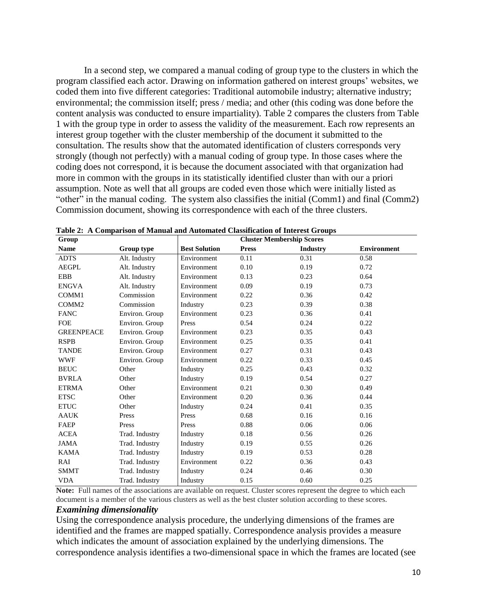In a second step, we compared a manual coding of group type to the clusters in which the program classified each actor. Drawing on information gathered on interest groups' websites, we coded them into five different categories: Traditional automobile industry; alternative industry; environmental; the commission itself; press / media; and other (this coding was done before the content analysis was conducted to ensure impartiality). Table 2 compares the clusters from Table 1 with the group type in order to assess the validity of the measurement. Each row represents an interest group together with the cluster membership of the document it submitted to the consultation. The results show that the automated identification of clusters corresponds very strongly (though not perfectly) with a manual coding of group type. In those cases where the coding does not correspond, it is because the document associated with that organization had more in common with the groups in its statistically identified cluster than with our a priori assumption. Note as well that all groups are coded even those which were initially listed as "other" in the manual coding. The system also classifies the initial (Comm1) and final (Comm2) Commission document, showing its correspondence with each of the three clusters.

| Group             |                |                      | <b>Cluster Membership Scores</b> |                 |                    |
|-------------------|----------------|----------------------|----------------------------------|-----------------|--------------------|
| <b>Name</b>       | Group type     | <b>Best Solution</b> | <b>Press</b>                     | <b>Industry</b> | <b>Environment</b> |
| <b>ADTS</b>       | Alt. Industry  | Environment          | 0.11                             | 0.31            | 0.58               |
| <b>AEGPL</b>      | Alt. Industry  | Environment          | 0.10                             | 0.19            | 0.72               |
| <b>EBB</b>        | Alt. Industry  | Environment          | 0.13                             | 0.23            | 0.64               |
| <b>ENGVA</b>      | Alt. Industry  | Environment          | 0.09                             | 0.19            | 0.73               |
| COMM1             | Commission     | Environment          | 0.22                             | 0.36            | 0.42               |
| COMM <sub>2</sub> | Commission     | Industry             | 0.23                             | 0.39            | 0.38               |
| <b>FANC</b>       | Environ. Group | Environment          | 0.23                             | 0.36            | 0.41               |
| <b>FOE</b>        | Environ. Group | Press                | 0.54                             | 0.24            | 0.22               |
| <b>GREENPEACE</b> | Environ. Group | Environment          | 0.23                             | 0.35            | 0.43               |
| <b>RSPB</b>       | Environ. Group | Environment          | 0.25                             | 0.35            | 0.41               |
| <b>TANDE</b>      | Environ. Group | Environment          | 0.27                             | 0.31            | 0.43               |
| <b>WWF</b>        | Environ. Group | Environment          | 0.22                             | 0.33            | 0.45               |
| <b>BEUC</b>       | Other          | Industry             | 0.25                             | 0.43            | 0.32               |
| <b>BVRLA</b>      | Other          | Industry             | 0.19                             | 0.54            | 0.27               |
| <b>ETRMA</b>      | Other          | Environment          | 0.21                             | 0.30            | 0.49               |
| <b>ETSC</b>       | Other          | Environment          | 0.20                             | 0.36            | 0.44               |
| <b>ETUC</b>       | Other          | Industry             | 0.24                             | 0.41            | 0.35               |
| <b>AAUK</b>       | Press          | Press                | 0.68                             | 0.16            | 0.16               |
| FAEP              | Press          | Press                | 0.88                             | 0.06            | 0.06               |
| <b>ACEA</b>       | Trad. Industry | Industry             | 0.18                             | 0.56            | 0.26               |
| <b>JAMA</b>       | Trad. Industry | Industry             | 0.19                             | 0.55            | 0.26               |
| <b>KAMA</b>       | Trad. Industry | Industry             | 0.19                             | 0.53            | 0.28               |
| RAI               | Trad. Industry | Environment          | 0.22                             | 0.36            | 0.43               |
| <b>SMMT</b>       | Trad. Industry | Industry             | 0.24                             | 0.46            | 0.30               |
| <b>VDA</b>        | Trad. Industry | Industry             | 0.15                             | 0.60            | 0.25               |

**Table 2: A Comparison of Manual and Automated Classification of Interest Groups**

**Note:** Full names of the associations are available on request. Cluster scores represent the degree to which each document is a member of the various clusters as well as the best cluster solution according to these scores.

#### *Examining dimensionality*

Using the correspondence analysis procedure, the underlying dimensions of the frames are identified and the frames are mapped spatially. Correspondence analysis provides a measure which indicates the amount of association explained by the underlying dimensions. The correspondence analysis identifies a two-dimensional space in which the frames are located (see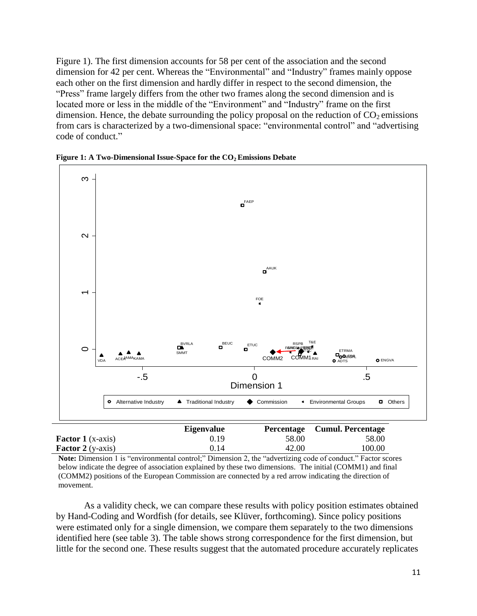Figure 1). The first dimension accounts for 58 per cent of the association and the second dimension for 42 per cent. Whereas the "Environmental" and "Industry" frames mainly oppose each other on the first dimension and hardly differ in respect to the second dimension, the "Press" frame largely differs from the other two frames along the second dimension and is located more or less in the middle of the "Environment" and "Industry" frame on the first dimension. Hence, the debate surrounding the policy proposal on the reduction of  $CO<sub>2</sub>$  emissions from cars is characterized by a two-dimensional space: "environmental control" and "advertising code of conduct."



**Figure 1: A Two-Dimensional Issue-Space for the CO2 Emissions Debate**

|                              | <b>Eigenvalue</b> | Percentage                                | <b>Cumul. Percentage</b> |  |
|------------------------------|-------------------|-------------------------------------------|--------------------------|--|
| <b>Factor 1</b> ( $x$ -axis) | 0.19              | 58.00                                     | 58.00                    |  |
| <b>Factor 2</b> (y-axis)     | 0.14              | 42.00                                     | 100.00                   |  |
| $\cdots$                     |                   | $\sim$ $\sim$ $\sim$ $\sim$ $\sim$ $\sim$ |                          |  |

**Note:** Dimension 1 is "environmental control;" Dimension 2, the "advertizing code of conduct." Factor scores below indicate the degree of association explained by these two dimensions. The initial (COMM1) and final (COMM2) positions of the European Commission are connected by a red arrow indicating the direction of movement.

As a validity check, we can compare these results with policy position estimates obtained by Hand-Coding and Wordfish (for details, see Klüver, forthcoming). Since policy positions were estimated only for a single dimension, we compare them separately to the two dimensions identified here (see table 3). The table shows strong correspondence for the first dimension, but little for the second one. These results suggest that the automated procedure accurately replicates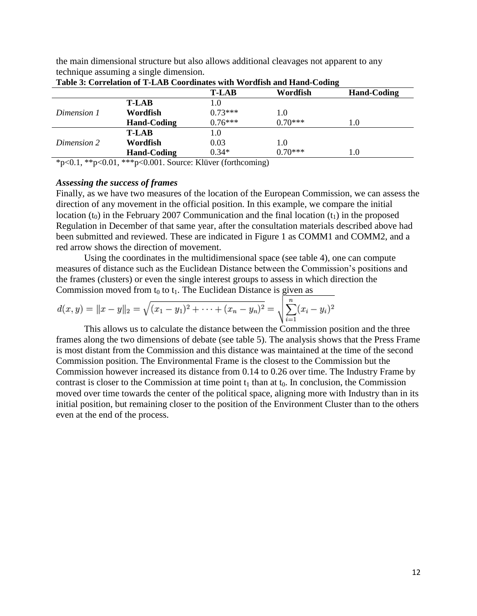the main dimensional structure but also allows additional cleavages not apparent to any technique assuming a single dimension.

| Table 5. Correlation of T-LAD Coordinates with wording and Hand-County           |                                |                                  |          |                    |  |
|----------------------------------------------------------------------------------|--------------------------------|----------------------------------|----------|--------------------|--|
|                                                                                  |                                | T-LAB                            | Wordfish | <b>Hand-Coding</b> |  |
|                                                                                  | <b>T-LAB</b>                   | L.O                              |          |                    |  |
| Dimension 1                                                                      | Wordfish                       | $0.73***$                        | 1.0      |                    |  |
|                                                                                  | <b>Hand-Coding</b>             | $0.76***$                        | 0.70***  | 1.0                |  |
|                                                                                  | <b>T-LAB</b>                   | 1.0                              |          |                    |  |
| Dimension 2                                                                      | Wordfish                       | 0.03                             | 1.0      |                    |  |
|                                                                                  | <b>Hand-Coding</b>             | $0.34*$                          | 0.70***  | 1.0                |  |
| $\mathbf{a}$ and $\mathbf{a}$ and $\mathbf{a}$ and $\mathbf{a}$ and $\mathbf{a}$ | $0.01$ $0.001$ $0.001$ $0.001$ | T T 1.1<br>$\sqrt{6}$ $\sqrt{1}$ |          |                    |  |

\*p<0.1, \*\*p<0.01, \*\*\*p<0.001. Source: Klüver (forthcoming)

#### *Assessing the success of frames*

Finally, as we have two measures of the location of the European Commission, we can assess the direction of any movement in the official position. In this example, we compare the initial location (t<sub>0</sub>) in the February 2007 Communication and the final location  $(t_1)$  in the proposed Regulation in December of that same year, after the consultation materials described above had been submitted and reviewed. These are indicated in Figure 1 as COMM1 and COMM2, and a red arrow shows the direction of movement.

Using the coordinates in the multidimensional space (see table 4), one can compute measures of distance such as the Euclidean Distance between the Commission"s positions and the frames (clusters) or even the single interest groups to assess in which direction the Commission moved from  $t_0$  to  $t_1$ . The Euclidean Distance is given as

$$
d(x,y) = ||x-y||_2 = \sqrt{(x_1-y_1)^2 + \dots + (x_n-y_n)^2} = \sqrt{\sum_{i=1}^n (x_i-y_i)^2}
$$

This allows us to calculate the distance between the Commission position and the three frames along the two dimensions of debate (see table 5). The analysis shows that the Press Frame is most distant from the Commission and this distance was maintained at the time of the second Commission position. The Environmental Frame is the closest to the Commission but the Commission however increased its distance from 0.14 to 0.26 over time. The Industry Frame by contrast is closer to the Commission at time point  $t_1$  than at  $t_0$ . In conclusion, the Commission moved over time towards the center of the political space, aligning more with Industry than in its initial position, but remaining closer to the position of the Environment Cluster than to the others even at the end of the process.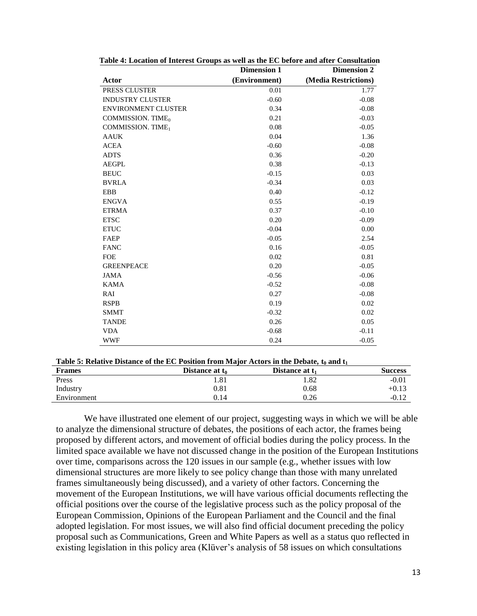|                               | <b>Dimension 1</b> | <b>Dimension 2</b>   |
|-------------------------------|--------------------|----------------------|
| Actor                         | (Environment)      | (Media Restrictions) |
| PRESS CLUSTER                 | 0.01               | 1.77                 |
| <b>INDUSTRY CLUSTER</b>       | $-0.60$            | $-0.08$              |
| <b>ENVIRONMENT CLUSTER</b>    | 0.34               | $-0.08$              |
| COMMISSION. TIME <sub>0</sub> | 0.21               | $-0.03$              |
| COMMISSION. TIME <sub>1</sub> | 0.08               | $-0.05$              |
| <b>AAUK</b>                   | 0.04               | 1.36                 |
| <b>ACEA</b>                   | $-0.60$            | $-0.08$              |
| <b>ADTS</b>                   | 0.36               | $-0.20$              |
| <b>AEGPL</b>                  | 0.38               | $-0.13$              |
| <b>BEUC</b>                   | $-0.15$            | 0.03                 |
| <b>BVRLA</b>                  | $-0.34$            | 0.03                 |
| <b>EBB</b>                    | 0.40               | $-0.12$              |
| <b>ENGVA</b>                  | 0.55               | $-0.19$              |
| <b>ETRMA</b>                  | 0.37               | $-0.10$              |
| <b>ETSC</b>                   | 0.20               | $-0.09$              |
| <b>ETUC</b>                   | $-0.04$            | 0.00                 |
| FAEP                          | $-0.05$            | 2.54                 |
| <b>FANC</b>                   | 0.16               | $-0.05$              |
| <b>FOE</b>                    | 0.02               | 0.81                 |
| <b>GREENPEACE</b>             | 0.20               | $-0.05$              |
| <b>JAMA</b>                   | $-0.56$            | $-0.06$              |
| <b>KAMA</b>                   | $-0.52$            | $-0.08$              |
| RAI                           | 0.27               | $-0.08$              |
| <b>RSPB</b>                   | 0.19               | 0.02                 |
| <b>SMMT</b>                   | $-0.32$            | 0.02                 |
| <b>TANDE</b>                  | 0.26               | 0.05                 |
| <b>VDA</b>                    | $-0.68$            | $-0.11$              |
| <b>WWF</b>                    | 0.24               | $-0.05$              |

|  |  | Table 4: Location of Interest Groups as well as the EC before and after Consultation |  |  |  |  |  |  |  |  |  |
|--|--|--------------------------------------------------------------------------------------|--|--|--|--|--|--|--|--|--|
|--|--|--------------------------------------------------------------------------------------|--|--|--|--|--|--|--|--|--|

#### **Table 5: Relative Distance of the EC Position from Major Actors in the Debate, t<sup>0</sup> and t<sup>1</sup>**

| <b>Frames</b> | Distance at t <sub>0</sub> | Distance at t <sub>1</sub> | <b>Success</b> |
|---------------|----------------------------|----------------------------|----------------|
| Press         | 1.81                       | . .82                      | $-0.01$        |
| Industry      | 0.81                       | 0.68                       | $+0.13$        |
| Environment   | 0.14                       | 0.26                       | $-0.12$        |

We have illustrated one element of our project, suggesting ways in which we will be able to analyze the dimensional structure of debates, the positions of each actor, the frames being proposed by different actors, and movement of official bodies during the policy process. In the limited space available we have not discussed change in the position of the European Institutions over time, comparisons across the 120 issues in our sample (e.g., whether issues with low dimensional structures are more likely to see policy change than those with many unrelated frames simultaneously being discussed), and a variety of other factors. Concerning the movement of the European Institutions, we will have various official documents reflecting the official positions over the course of the legislative process such as the policy proposal of the European Commission, Opinions of the European Parliament and the Council and the final adopted legislation. For most issues, we will also find official document preceding the policy proposal such as Communications, Green and White Papers as well as a status quo reflected in existing legislation in this policy area (Klüver's analysis of 58 issues on which consultations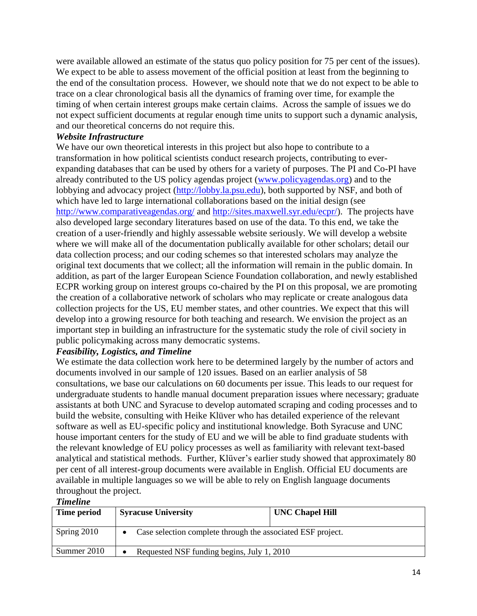were available allowed an estimate of the status quo policy position for 75 per cent of the issues). We expect to be able to assess movement of the official position at least from the beginning to the end of the consultation process. However, we should note that we do not expect to be able to trace on a clear chronological basis all the dynamics of framing over time, for example the timing of when certain interest groups make certain claims. Across the sample of issues we do not expect sufficient documents at regular enough time units to support such a dynamic analysis, and our theoretical concerns do not require this.

## *Website Infrastructure*

We have our own theoretical interests in this project but also hope to contribute to a transformation in how political scientists conduct research projects, contributing to everexpanding databases that can be used by others for a variety of purposes. The PI and Co-PI have already contributed to the US policy agendas project [\(www.policyagendas.org\)](http://www.policyagendas.org/) and to the lobbying and advocacy project [\(http://lobby.la.psu.edu\)](http://lobby.la.psu.edu/), both supported by NSF, and both of which have led to large international collaborations based on the initial design (see <http://www.comparativeagendas.org/> and [http://sites.maxwell.syr.edu/ecpr/\)](http://sites.maxwell.syr.edu/ecpr/). The projects have also developed large secondary literatures based on use of the data. To this end, we take the creation of a user-friendly and highly assessable website seriously. We will develop a website where we will make all of the documentation publically available for other scholars; detail our data collection process; and our coding schemes so that interested scholars may analyze the original text documents that we collect; all the information will remain in the public domain. In addition, as part of the larger European Science Foundation collaboration, and newly established ECPR working group on interest groups co-chaired by the PI on this proposal, we are promoting the creation of a collaborative network of scholars who may replicate or create analogous data collection projects for the US, EU member states, and other countries. We expect that this will develop into a growing resource for both teaching and research. We envision the project as an important step in building an infrastructure for the systematic study the role of civil society in public policymaking across many democratic systems.

# *Feasibility, Logistics, and Timeline*

We estimate the data collection work here to be determined largely by the number of actors and documents involved in our sample of 120 issues. Based on an earlier analysis of 58 consultations, we base our calculations on 60 documents per issue. This leads to our request for undergraduate students to handle manual document preparation issues where necessary; graduate assistants at both UNC and Syracuse to develop automated scraping and coding processes and to build the website, consulting with Heike Klüver who has detailed experience of the relevant software as well as EU-specific policy and institutional knowledge. Both Syracuse and UNC house important centers for the study of EU and we will be able to find graduate students with the relevant knowledge of EU policy processes as well as familiarity with relevant text-based analytical and statistical methods. Further, Klüver's earlier study showed that approximately 80 per cent of all interest-group documents were available in English. Official EU documents are available in multiple languages so we will be able to rely on English language documents throughout the project.

## *Timeline*

| Time period | <b>Syracuse University</b>                                  | <b>UNC Chapel Hill</b> |
|-------------|-------------------------------------------------------------|------------------------|
| Spring 2010 | Case selection complete through the associated ESF project. |                        |
| Summer 2010 | Requested NSF funding begins, July 1, 2010                  |                        |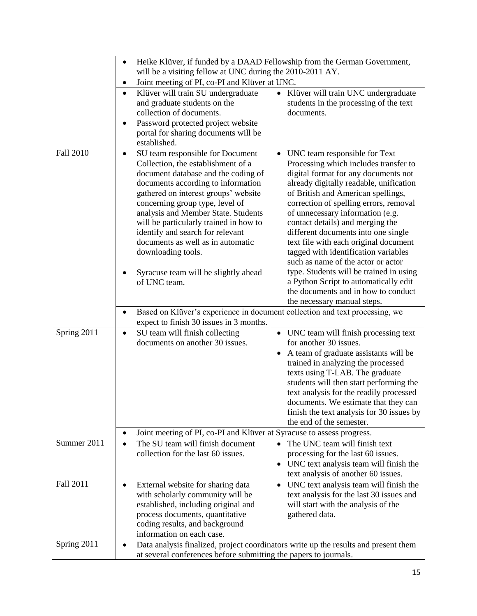|             | Heike Klüver, if funded by a DAAD Fellowship from the German Government,<br>٠<br>will be a visiting fellow at UNC during the 2010-2011 AY.                                                                                                                                                                                                                                                                                                  |                                                                                                                                                                                                                                                                                                                                                                                                                                                                                              |  |  |  |
|-------------|---------------------------------------------------------------------------------------------------------------------------------------------------------------------------------------------------------------------------------------------------------------------------------------------------------------------------------------------------------------------------------------------------------------------------------------------|----------------------------------------------------------------------------------------------------------------------------------------------------------------------------------------------------------------------------------------------------------------------------------------------------------------------------------------------------------------------------------------------------------------------------------------------------------------------------------------------|--|--|--|
|             | Joint meeting of PI, co-PI and Klüver at UNC.<br>٠                                                                                                                                                                                                                                                                                                                                                                                          |                                                                                                                                                                                                                                                                                                                                                                                                                                                                                              |  |  |  |
|             | Klüver will train SU undergraduate<br>$\bullet$<br>and graduate students on the<br>collection of documents.<br>Password protected project website<br>$\bullet$<br>portal for sharing documents will be                                                                                                                                                                                                                                      | Klüver will train UNC undergraduate<br>$\bullet$<br>students in the processing of the text<br>documents.                                                                                                                                                                                                                                                                                                                                                                                     |  |  |  |
| Fall 2010   | established.<br>SU team responsible for Document<br>$\bullet$<br>Collection, the establishment of a<br>document database and the coding of<br>documents according to information<br>gathered on interest groups' website<br>concerning group type, level of<br>analysis and Member State. Students<br>will be particularly trained in how to<br>identify and search for relevant<br>documents as well as in automatic<br>downloading tools. | UNC team responsible for Text<br>$\bullet$<br>Processing which includes transfer to<br>digital format for any documents not<br>already digitally readable, unification<br>of British and American spellings,<br>correction of spelling errors, removal<br>of unnecessary information (e.g.<br>contact details) and merging the<br>different documents into one single<br>text file with each original document<br>tagged with identification variables<br>such as name of the actor or actor |  |  |  |
|             | Syracuse team will be slightly ahead<br>of UNC team.                                                                                                                                                                                                                                                                                                                                                                                        | type. Students will be trained in using<br>a Python Script to automatically edit<br>the documents and in how to conduct<br>the necessary manual steps.                                                                                                                                                                                                                                                                                                                                       |  |  |  |
|             | Based on Klüver's experience in document collection and text processing, we<br>٠<br>expect to finish 30 issues in 3 months.                                                                                                                                                                                                                                                                                                                 |                                                                                                                                                                                                                                                                                                                                                                                                                                                                                              |  |  |  |
| Spring 2011 | SU team will finish collecting<br>$\bullet$<br>documents on another 30 issues.                                                                                                                                                                                                                                                                                                                                                              | • UNC team will finish processing text<br>for another 30 issues.<br>A team of graduate assistants will be<br>$\bullet$<br>trained in analyzing the processed<br>texts using T-LAB. The graduate<br>students will then start performing the<br>text analysis for the readily processed<br>documents. We estimate that they can<br>finish the text analysis for 30 issues by<br>the end of the semester.                                                                                       |  |  |  |
|             | Joint meeting of PI, co-PI and Klüver at Syracuse to assess progress.<br>$\bullet$                                                                                                                                                                                                                                                                                                                                                          |                                                                                                                                                                                                                                                                                                                                                                                                                                                                                              |  |  |  |
| Summer 2011 | The SU team will finish document<br>$\bullet$<br>collection for the last 60 issues.                                                                                                                                                                                                                                                                                                                                                         | The UNC team will finish text<br>$\bullet$<br>processing for the last 60 issues.<br>UNC text analysis team will finish the<br>$\bullet$<br>text analysis of another 60 issues.                                                                                                                                                                                                                                                                                                               |  |  |  |
| Fall 2011   | External website for sharing data<br>$\bullet$<br>with scholarly community will be<br>established, including original and<br>process documents, quantitative<br>coding results, and background<br>information on each case.                                                                                                                                                                                                                 | UNC text analysis team will finish the<br>$\bullet$<br>text analysis for the last 30 issues and<br>will start with the analysis of the<br>gathered data.                                                                                                                                                                                                                                                                                                                                     |  |  |  |
| Spring 2011 | $\bullet$                                                                                                                                                                                                                                                                                                                                                                                                                                   | Data analysis finalized, project coordinators write up the results and present them<br>at several conferences before submitting the papers to journals.                                                                                                                                                                                                                                                                                                                                      |  |  |  |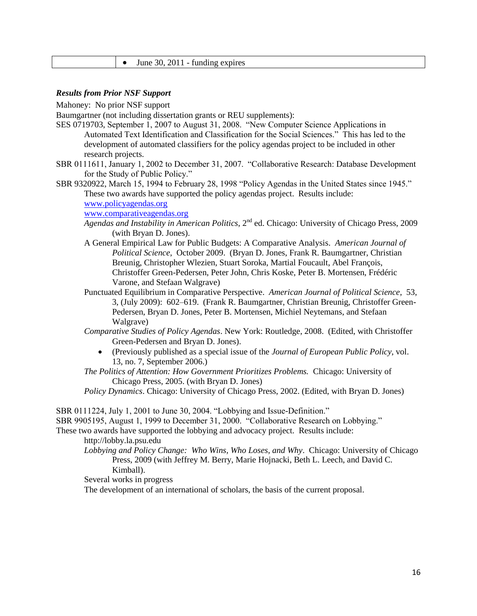|  | June 30, $2011$ - funding expires |
|--|-----------------------------------|
|--|-----------------------------------|

#### *Results from Prior NSF Support*

Mahoney: No prior NSF support

Baumgartner (not including dissertation grants or REU supplements):

- SES 0719703, September 1, 2007 to August 31, 2008. "New Computer Science Applications in Automated Text Identification and Classification for the Social Sciences." This has led to the development of automated classifiers for the policy agendas project to be included in other research projects.
- SBR 0111611, January 1, 2002 to December 31, 2007. "Collaborative Research: Database Development for the Study of Public Policy."
- SBR 9320922, March 15, 1994 to February 28, 1998 "Policy Agendas in the United States since 1945." These two awards have supported the policy agendas project. Results include:

[www.policyagendas.org](http://www.policyagendas.org/)

[www.comparativeagendas.org](http://www.comparativeagendas.org/)

- *Agendas and Instability in American Politics*, 2nd ed. Chicago: University of Chicago Press, 2009 (with Bryan D. Jones).
- A General Empirical Law for Public Budgets: A Comparative Analysis. *American Journal of Political Science*, October 2009. (Bryan D. Jones, Frank R. Baumgartner, Christian Breunig, Christopher Wlezien, Stuart Soroka, Martial Foucault, Abel François, Christoffer Green-Pedersen, Peter John, Chris Koske, Peter B. Mortensen, Frédéric Varone, and Stefaan Walgrave)
- Punctuated Equilibrium in Comparative Perspective. *American Journal of Political Science*, 53, 3, (July 2009): 602–619. (Frank R. Baumgartner, Christian Breunig, Christoffer Green-Pedersen, Bryan D. Jones, Peter B. Mortensen, Michiel Neytemans, and Stefaan Walgrave)
- *Comparative Studies of Policy Agendas*. New York: Routledge, 2008. (Edited, with Christoffer Green-Pedersen and Bryan D. Jones).
	- (Previously published as a special issue of the *Journal of European Public Policy*, vol. 13, no. 7, September 2006.)
- *The Politics of Attention: How Government Prioritizes Problems.* Chicago: University of Chicago Press, 2005. (with Bryan D. Jones)
- *Policy Dynamics*. Chicago: University of Chicago Press, 2002. (Edited, with Bryan D. Jones)

SBR 0111224, July 1, 2001 to June 30, 2004. "Lobbying and Issue-Definition."

SBR 9905195, August 1, 1999 to December 31, 2000. "Collaborative Research on Lobbying."

These two awards have supported the lobbying and advocacy project. Results include:

http://lobby.la.psu.edu

*Lobbying and Policy Change: Who Wins, Who Loses, and Why*. Chicago: University of Chicago Press, 2009 (with Jeffrey M. Berry, Marie Hojnacki, Beth L. Leech, and David C. Kimball).

Several works in progress

The development of an international of scholars, the basis of the current proposal.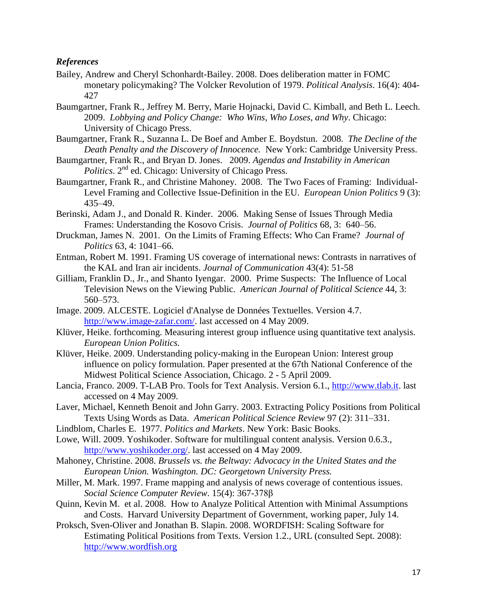## *References*

- Bailey, Andrew and Cheryl Schonhardt-Bailey. 2008. Does deliberation matter in FOMC monetary policymaking? The Volcker Revolution of 1979. *Political Analysis*. 16(4): 404- 427
- Baumgartner, Frank R., Jeffrey M. Berry, Marie Hojnacki, David C. Kimball, and Beth L. Leech. 2009. *Lobbying and Policy Change: Who Wins, Who Loses, and Why*. Chicago: University of Chicago Press.
- Baumgartner, Frank R., Suzanna L. De Boef and Amber E. Boydstun. 2008. *The Decline of the Death Penalty and the Discovery of Innocence.* New York: Cambridge University Press.
- Baumgartner, Frank R., and Bryan D. Jones. 2009. *Agendas and Instability in American Politics*. 2nd ed. Chicago: University of Chicago Press.
- Baumgartner, Frank R., and Christine Mahoney. 2008. The Two Faces of Framing: Individual-Level Framing and Collective Issue-Definition in the EU. *European Union Politics* 9 (3): 435–49.
- Berinski, Adam J., and Donald R. Kinder. 2006. Making Sense of Issues Through Media Frames: Understanding the Kosovo Crisis. *Journal of Politics* 68, 3: 640–56.
- Druckman, James N. 2001. On the Limits of Framing Effects: Who Can Frame? *Journal of Politics* 63, 4: 1041–66.
- Entman, Robert M. 1991. Framing US coverage of international news: Contrasts in narratives of the KAL and Iran air incidents. *Journal of Communication* 43(4): 51-58
- Gilliam, Franklin D., Jr., and Shanto Iyengar. 2000. Prime Suspects: The Influence of Local Television News on the Viewing Public. *American Journal of Political Science* 44, 3: 560–573.
- Image. 2009. ALCESTE. Logiciel d'Analyse de Données Textuelles. Version 4.7. [http://www.image-zafar.com/.](http://www.image-zafar.com/) last accessed on 4 May 2009.
- Klüver, Heike. forthcoming. Measuring interest group influence using quantitative text analysis. *European Union Politics.*
- Klüver, Heike. 2009. Understanding policy-making in the European Union: Interest group influence on policy formulation. Paper presented at the 67th National Conference of the Midwest Political Science Association, Chicago. 2 - 5 April 2009.
- Lancia, Franco. 2009. T-LAB Pro. Tools for Text Analysis. Version 6.1., [http://www.tlab.it.](http://www.tlab.it/) last accessed on 4 May 2009.
- Laver, Michael, Kenneth Benoit and John Garry. 2003. Extracting Policy Positions from Political Texts Using Words as Data. *American Political Science Review* 97 (2): 311–331.
- Lindblom, Charles E. 1977. *Politics and Markets*. New York: Basic Books.
- Lowe, Will. 2009. Yoshikoder. Software for multilingual content analysis. Version 0.6.3., [http://www.yoshikoder.org/.](http://www.yoshikoder.org/) last accessed on 4 May 2009.
- Mahoney, Christine. 2008. *Brussels vs. the Beltway: Advocacy in the United States and the European Union. Washington. DC: Georgetown University Press.*
- Miller, M. Mark. 1997. Frame mapping and analysis of news coverage of contentious issues. *Social Science Computer Review*. 15(4): 367-378β
- Quinn, Kevin M. et al. 2008. How to Analyze Political Attention with Minimal Assumptions and Costs. Harvard University Department of Government, working paper, July 14.
- Proksch, Sven-Oliver and Jonathan B. Slapin. 2008. WORDFISH: Scaling Software for Estimating Political Positions from Texts. Version 1.2., URL (consulted Sept. 2008): [http://www.wordfish.org](http://www.wordfish.org/)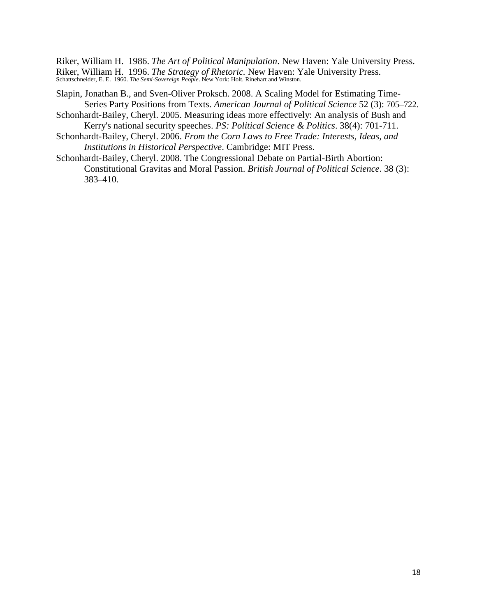Riker, William H. 1986. *The Art of Political Manipulation*. New Haven: Yale University Press. Riker, William H. 1996. *The Strategy of Rhetoric.* New Haven: Yale University Press. Schattschneider, E. E. 1960. *The Semi-Sovereign People*. New York: Holt. Rinehart and Winston.

- Slapin, Jonathan B., and Sven-Oliver Proksch. 2008. A Scaling Model for Estimating Time-Series Party Positions from Texts. *American Journal of Political Science* 52 (3): 705–722.
- Schonhardt-Bailey, Cheryl. 2005. Measuring ideas more effectively: An analysis of Bush and Kerry's national security speeches. *PS: Political Science & Politics*. 38(4): 701-711.
- Schonhardt-Bailey, Cheryl. 2006. *From the Corn Laws to Free Trade: Interests, Ideas, and Institutions in Historical Perspective*. Cambridge: MIT Press.
- Schonhardt-Bailey, Cheryl. 2008. The Congressional Debate on Partial-Birth Abortion: Constitutional Gravitas and Moral Passion. *British Journal of Political Science*. 38 (3): 383–410.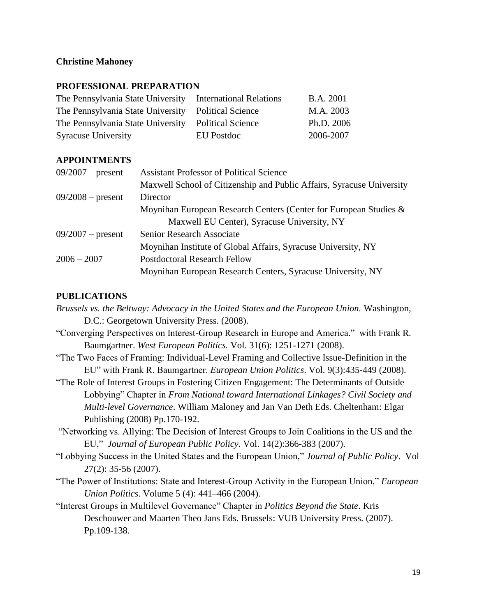## **Christine Mahoney**

## **PROFESSIONAL PREPARATION**

| The Pennsylvania State University International Relations |            | <b>B.A.</b> 2001 |
|-----------------------------------------------------------|------------|------------------|
| The Pennsylvania State University Political Science       |            | M.A. 2003        |
| The Pennsylvania State University Political Science       |            | Ph.D. 2006       |
| <b>Syracuse University</b>                                | EU Postdoc | 2006-2007        |

## **APPOINTMENTS**

| $09/2007$ – present | <b>Assistant Professor of Political Science</b>                       |
|---------------------|-----------------------------------------------------------------------|
|                     | Maxwell School of Citizenship and Public Affairs, Syracuse University |
| $09/2008$ – present | Director                                                              |
|                     | Moynihan European Research Centers (Center for European Studies &     |
|                     | Maxwell EU Center), Syracuse University, NY                           |
| $09/2007$ – present | Senior Research Associate                                             |
|                     | Moynihan Institute of Global Affairs, Syracuse University, NY         |
| $2006 - 2007$       | <b>Postdoctoral Research Fellow</b>                                   |
|                     | Moynihan European Research Centers, Syracuse University, NY           |
|                     |                                                                       |

## **PUBLICATIONS**

*Brussels vs. the Beltway: Advocacy in the United States and the European Union.* Washington, D.C.: Georgetown University Press. (2008). "Converging Perspectives on Interest-Group Research in Europe and America." with Frank R. Baumgartner. *West European Politics.* Vol. 31(6): 1251-1271 (2008). "The Two Faces of Framing: Individual-Level Framing and Collective Issue-Definition in the EU" with Frank R. Baumgartner. *European Union Politics*. Vol. 9(3):435-449 (2008). "The Role of Interest Groups in Fostering Citizen Engagement: The Determinants of Outside Lobbying" Chapter in *From National toward International Linkages? Civil Society and Multi-level Governance*. William Maloney and Jan Van Deth Eds. Cheltenham: Elgar Publishing (2008) Pp.170-192. "Networking vs. Allying: The Decision of Interest Groups to Join Coalitions in the US and the EU," *Journal of European Public Policy.* Vol. 14(2):366-383 (2007). "Lobbying Success in the United States and the European Union," *Journal of Public Policy*. Vol 27(2): 35-56 (2007). "The Power of Institutions: State and Interest-Group Activity in the European Union," *European Union Politics*. Volume 5 (4): 441–466 (2004). "Interest Groups in Multilevel Governance" Chapter in *Politics Beyond the State*. Kris Deschouwer and Maarten Theo Jans Eds. Brussels: VUB University Press. (2007). Pp.109-138.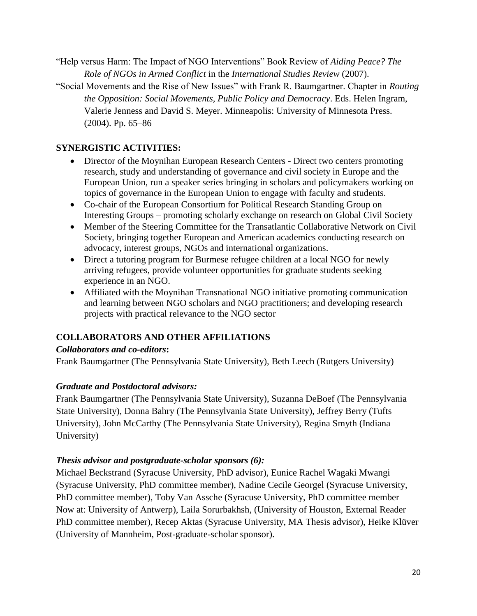- "Help versus Harm: The Impact of NGO Interventions" Book Review of *Aiding Peace? The Role of NGOs in Armed Conflict* in the *International Studies Review* (2007).
- "Social Movements and the Rise of New Issues" with Frank R. Baumgartner. Chapter in *Routing the Opposition: Social Movements, Public Policy and Democracy*. Eds. Helen Ingram, Valerie Jenness and David S. Meyer. Minneapolis: University of Minnesota Press. (2004). Pp. 65–86

# **SYNERGISTIC ACTIVITIES:**

- Director of the Moynihan European Research Centers Direct two centers promoting research, study and understanding of governance and civil society in Europe and the European Union, run a speaker series bringing in scholars and policymakers working on topics of governance in the European Union to engage with faculty and students.
- Co-chair of the European Consortium for Political Research Standing Group on Interesting Groups – promoting scholarly exchange on research on Global Civil Society
- Member of the Steering Committee for the Transatlantic Collaborative Network on Civil Society, bringing together European and American academics conducting research on advocacy, interest groups, NGOs and international organizations.
- Direct a tutoring program for Burmese refugee children at a local NGO for newly arriving refugees, provide volunteer opportunities for graduate students seeking experience in an NGO.
- Affiliated with the Moynihan Transnational NGO initiative promoting communication and learning between NGO scholars and NGO practitioners; and developing research projects with practical relevance to the NGO sector

# **COLLABORATORS AND OTHER AFFILIATIONS**

# *Collaborators and co-editors***:**

Frank Baumgartner (The Pennsylvania State University), Beth Leech (Rutgers University)

# *Graduate and Postdoctoral advisors:*

Frank Baumgartner (The Pennsylvania State University), Suzanna DeBoef (The Pennsylvania State University), Donna Bahry (The Pennsylvania State University), Jeffrey Berry (Tufts University), John McCarthy (The Pennsylvania State University), Regina Smyth (Indiana University)

# *Thesis advisor and postgraduate-scholar sponsors (6):*

Michael Beckstrand (Syracuse University, PhD advisor), Eunice Rachel Wagaki Mwangi (Syracuse University, PhD committee member), Nadine Cecile Georgel (Syracuse University, PhD committee member), Toby Van Assche (Syracuse University, PhD committee member – Now at: University of Antwerp), Laila Sorurbakhsh, (University of Houston, External Reader PhD committee member), Recep Aktas (Syracuse University, MA Thesis advisor), Heike Klüver (University of Mannheim, Post-graduate-scholar sponsor).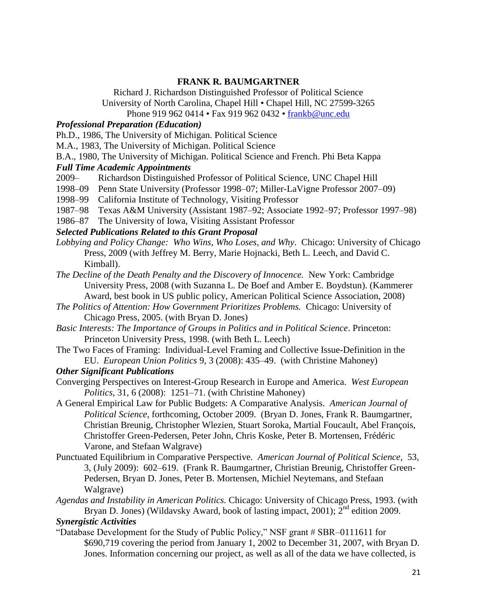## **FRANK R. BAUMGARTNER**

Richard J. Richardson Distinguished Professor of Political Science University of North Carolina, Chapel Hill • Chapel Hill, NC 27599-3265

Phone 919 962 0414 • Fax 919 962 0432 • [frankb@unc.edu](mailto:frankb@unc.edu)

## *Professional Preparation (Education)*

Ph.D., 1986, The University of Michigan. Political Science

M.A., 1983, The University of Michigan. Political Science

B.A., 1980, The University of Michigan. Political Science and French. Phi Beta Kappa

## *Full Time Academic Appointments*

2009– Richardson Distinguished Professor of Political Science, UNC Chapel Hill

- 1998–09 Penn State University (Professor 1998–07; Miller-LaVigne Professor 2007–09)
- 1998–99 California Institute of Technology, Visiting Professor
- 1987–98 Texas A&M University (Assistant 1987–92; Associate 1992–97; Professor 1997–98)
- 1986–87 The University of Iowa, Visiting Assistant Professor

## *Selected Publications Related to this Grant Proposal*

- *Lobbying and Policy Change: Who Wins, Who Loses, and Why*. Chicago: University of Chicago Press, 2009 (with Jeffrey M. Berry, Marie Hojnacki, Beth L. Leech, and David C. Kimball).
- *The Decline of the Death Penalty and the Discovery of Innocence.* New York: Cambridge University Press, 2008 (with Suzanna L. De Boef and Amber E. Boydstun). (Kammerer Award, best book in US public policy, American Political Science Association, 2008)
- *The Politics of Attention: How Government Prioritizes Problems.* Chicago: University of Chicago Press, 2005. (with Bryan D. Jones)
- *Basic Interests: The Importance of Groups in Politics and in Political Science*. Princeton: Princeton University Press, 1998. (with Beth L. Leech)
- The Two Faces of Framing: Individual-Level Framing and Collective Issue-Definition in the EU. *European Union Politics* 9, 3 (2008): 435–49. (with Christine Mahoney)

## *Other Significant Publications*

- Converging Perspectives on Interest-Group Research in Europe and America. *West European Politics*, 31, 6 (2008): 1251–71. (with Christine Mahoney)
- A General Empirical Law for Public Budgets: A Comparative Analysis. *American Journal of Political Science*, forthcoming, October 2009. (Bryan D. Jones, Frank R. Baumgartner, Christian Breunig, Christopher Wlezien, Stuart Soroka, Martial Foucault, Abel François, Christoffer Green-Pedersen, Peter John, Chris Koske, Peter B. Mortensen, Frédéric Varone, and Stefaan Walgrave)
- Punctuated Equilibrium in Comparative Perspective. *American Journal of Political Science*, 53, 3, (July 2009): 602–619. (Frank R. Baumgartner, Christian Breunig, Christoffer Green-Pedersen, Bryan D. Jones, Peter B. Mortensen, Michiel Neytemans, and Stefaan Walgrave)
- *Agendas and Instability in American Politics.* Chicago: University of Chicago Press, 1993. (with Bryan D. Jones) (Wildavsky Award, book of lasting impact, 2001);  $2<sup>nd</sup>$  edition 2009.

## *Synergistic Activities*

"Database Development for the Study of Public Policy," NSF grant # SBR–0111611 for \$690,719 covering the period from January 1, 2002 to December 31, 2007, with Bryan D. Jones. Information concerning our project, as well as all of the data we have collected, is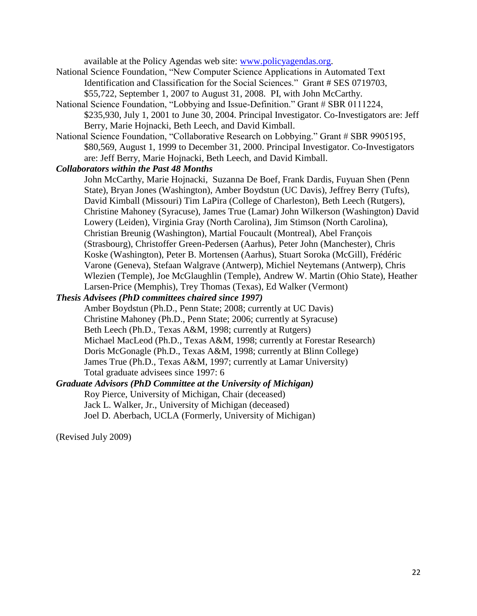available at the Policy Agendas web site: [www.policyagendas.org.](http://www.policyagendas.org/)

- National Science Foundation, "New Computer Science Applications in Automated Text Identification and Classification for the Social Sciences." Grant # SES 0719703, \$55,722, September 1, 2007 to August 31, 2008. PI, with John McCarthy.
- National Science Foundation, "Lobbying and Issue-Definition." Grant # SBR 0111224, \$235,930, July 1, 2001 to June 30, 2004. Principal Investigator. Co-Investigators are: Jeff Berry, Marie Hojnacki, Beth Leech, and David Kimball.
- National Science Foundation, "Collaborative Research on Lobbying." Grant # SBR 9905195, \$80,569, August 1, 1999 to December 31, 2000. Principal Investigator. Co-Investigators are: Jeff Berry, Marie Hojnacki, Beth Leech, and David Kimball.

## *Collaborators within the Past 48 Months*

John McCarthy, Marie Hojnacki, Suzanna De Boef, Frank Dardis, Fuyuan Shen (Penn State), Bryan Jones (Washington), Amber Boydstun (UC Davis), Jeffrey Berry (Tufts), David Kimball (Missouri) Tim LaPira (College of Charleston), Beth Leech (Rutgers), Christine Mahoney (Syracuse), James True (Lamar) John Wilkerson (Washington) David Lowery (Leiden), Virginia Gray (North Carolina), Jim Stimson (North Carolina), Christian Breunig (Washington), Martial Foucault (Montreal), Abel François (Strasbourg), Christoffer Green-Pedersen (Aarhus), Peter John (Manchester), Chris Koske (Washington), Peter B. Mortensen (Aarhus), Stuart Soroka (McGill), Frédéric Varone (Geneva), Stefaan Walgrave (Antwerp), Michiel Neytemans (Antwerp), Chris Wlezien (Temple), Joe McGlaughlin (Temple), Andrew W. Martin (Ohio State), Heather Larsen-Price (Memphis), Trey Thomas (Texas), Ed Walker (Vermont)

## *Thesis Advisees (PhD committees chaired since 1997)*

Amber Boydstun (Ph.D., Penn State; 2008; currently at UC Davis) Christine Mahoney (Ph.D., Penn State; 2006; currently at Syracuse) Beth Leech (Ph.D., Texas A&M, 1998; currently at Rutgers) Michael MacLeod (Ph.D., Texas A&M, 1998; currently at Forestar Research) Doris McGonagle (Ph.D., Texas A&M, 1998; currently at Blinn College) James True (Ph.D., Texas A&M, 1997; currently at Lamar University) Total graduate advisees since 1997: 6

*Graduate Advisors (PhD Committee at the University of Michigan)* Roy Pierce, University of Michigan, Chair (deceased) Jack L. Walker, Jr., University of Michigan (deceased) Joel D. Aberbach, UCLA (Formerly, University of Michigan)

(Revised July 2009)